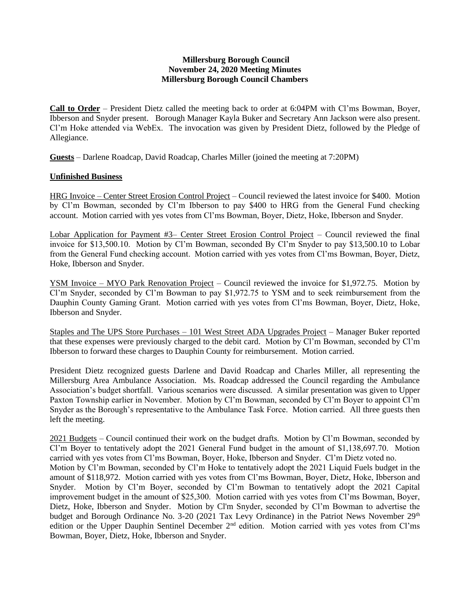## **Millersburg Borough Council November 24, 2020 Meeting Minutes Millersburg Borough Council Chambers**

**Call to Order** – President Dietz called the meeting back to order at 6:04PM with Cl'ms Bowman, Boyer, Ibberson and Snyder present. Borough Manager Kayla Buker and Secretary Ann Jackson were also present. Cl'm Hoke attended via WebEx. The invocation was given by President Dietz, followed by the Pledge of Allegiance.

**Guests** – Darlene Roadcap, David Roadcap, Charles Miller (joined the meeting at 7:20PM)

## **Unfinished Business**

HRG Invoice – Center Street Erosion Control Project – Council reviewed the latest invoice for \$400. Motion by Cl'm Bowman, seconded by Cl'm Ibberson to pay \$400 to HRG from the General Fund checking account. Motion carried with yes votes from Cl'ms Bowman, Boyer, Dietz, Hoke, Ibberson and Snyder.

Lobar Application for Payment #3– Center Street Erosion Control Project – Council reviewed the final invoice for \$13,500.10. Motion by Cl'm Bowman, seconded By Cl'm Snyder to pay \$13,500.10 to Lobar from the General Fund checking account. Motion carried with yes votes from Cl'ms Bowman, Boyer, Dietz, Hoke, Ibberson and Snyder.

YSM Invoice – MYO Park Renovation Project – Council reviewed the invoice for \$1,972.75. Motion by Cl'm Snyder, seconded by Cl'm Bowman to pay \$1,972.75 to YSM and to seek reimbursement from the Dauphin County Gaming Grant. Motion carried with yes votes from Cl'ms Bowman, Boyer, Dietz, Hoke, Ibberson and Snyder.

Staples and The UPS Store Purchases – 101 West Street ADA Upgrades Project – Manager Buker reported that these expenses were previously charged to the debit card. Motion by Cl'm Bowman, seconded by Cl'm Ibberson to forward these charges to Dauphin County for reimbursement. Motion carried.

President Dietz recognized guests Darlene and David Roadcap and Charles Miller, all representing the Millersburg Area Ambulance Association. Ms. Roadcap addressed the Council regarding the Ambulance Association's budget shortfall. Various scenarios were discussed. A similar presentation was given to Upper Paxton Township earlier in November. Motion by Cl'm Bowman, seconded by Cl'm Boyer to appoint Cl'm Snyder as the Borough's representative to the Ambulance Task Force. Motion carried. All three guests then left the meeting.

2021 Budgets – Council continued their work on the budget drafts. Motion by Cl'm Bowman, seconded by Cl'm Boyer to tentatively adopt the 2021 General Fund budget in the amount of \$1,138,697.70. Motion carried with yes votes from Cl'ms Bowman, Boyer, Hoke, Ibberson and Snyder. Cl'm Dietz voted no. Motion by Cl'm Bowman, seconded by Cl'm Hoke to tentatively adopt the 2021 Liquid Fuels budget in the amount of \$118,972. Motion carried with yes votes from Cl'ms Bowman, Boyer, Dietz, Hoke, Ibberson and Snyder. Motion by Cl'm Boyer, seconded by Cl'm Bowman to tentatively adopt the 2021 Capital improvement budget in the amount of \$25,300. Motion carried with yes votes from Cl'ms Bowman, Boyer, Dietz, Hoke, Ibberson and Snyder. Motion by Cl'm Snyder, seconded by Cl'm Bowman to advertise the budget and Borough Ordinance No. 3-20 (2021 Tax Levy Ordinance) in the Patriot News November 29<sup>th</sup> edition or the Upper Dauphin Sentinel December 2<sup>nd</sup> edition. Motion carried with yes votes from Cl'ms Bowman, Boyer, Dietz, Hoke, Ibberson and Snyder.